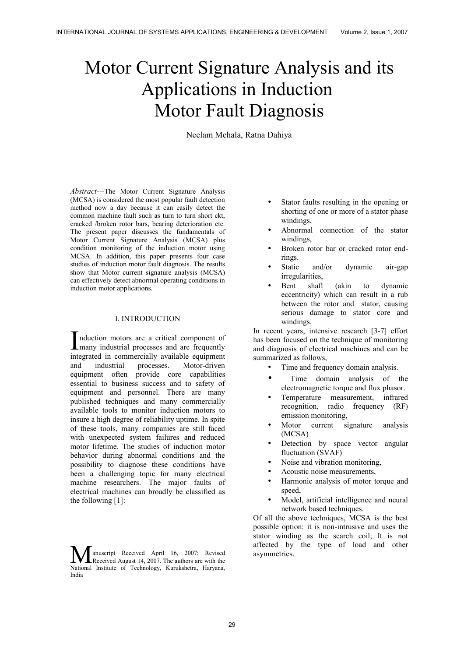# Motor Current Signature Analysis and its Applications in Induction Motor Fault Diagnosis

Neelam Mehala, Ratna Dahiya

*Abstract---*The Motor Current Signature Analysis (MCSA) is considered the most popular fault detection method now a day because it can easily detect the common machine fault such as turn to turn short ckt, cracked /broken rotor bars, bearing deterioration etc. The present paper discusses the fundamentals of Motor Current Signature Analysis (MCSA) plus condition monitoring of the induction motor using MCSA. In addition, this paper presents four case studies of induction motor fault diagnosis. The results show that Motor current signature analysis (MCSA) can effectively detect abnormal operating conditions in induction motor applications.

#### I. INTRODUCTION

nduction motors are a critical component of Induction motors are a critical component of<br>many industrial processes and are frequently integrated in commercially available equipment and industrial processes. Motor-driven equipment often provide core capabilities essential to business success and to safety of equipment and personnel. There are many published techniques and many commercially available tools to monitor induction motors to insure a high degree of reliability uptime. In spite of these tools, many companies are still faced with unexpected system failures and reduced motor lifetime. The studies of induction motor behavior during abnormal conditions and the possibility to diagnose these conditions have been a challenging topic for many electrical machine researchers. The major faults of electrical machines can broadly be classified as the following [1]:

anuscript Received April 16, 2007; Revised **Received August 14, 2007.** The authors are with the **Manuscript** Received April 16, 2007; Revised Received August 14, 2007. The authors are with the National Institute of Technology, Kurukshetra, Haryana, India

- Stator faults resulting in the opening or shorting of one or more of a stator phase windings,
- Abnormal connection of the stator windings,
- Broken rotor bar or cracked rotor endrings.
- Static and/or dynamic air-gap irregularities,
- Bent shaft (akin to dynamic eccentricity) which can result in a rub between the rotor and stator, causing serious damage to stator core and windings.

In recent years, intensive research [3-7] effort has been focused on the technique of monitoring and diagnosis of electrical machines and can be summarized as follows,

- Time and frequency domain analysis.
- Time domain analysis of the electromagnetic torque and flux phasor.
- Temperature measurement, infrared recognition, radio frequency (RF) emission monitoring,
- Motor current signature analysis (MCSA)
- Detection by space vector angular fluctuation (SVAF)
- Noise and vibration monitoring.
- Acoustic noise measurements,
- Harmonic analysis of motor torque and speed,
- Model, artificial intelligence and neural network based techniques.

Of all the above techniques, MCSA is the best possible option: it is non-intrusive and uses the stator winding as the search coil; It is not affected by the type of load and other asymmetries.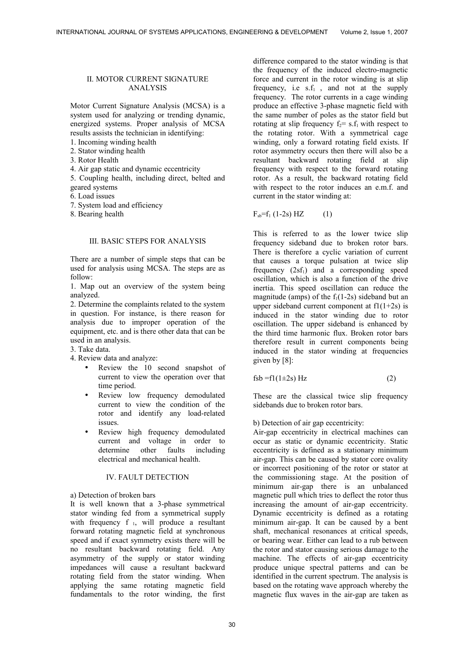## II. MOTOR CURRENT SIGNATURE ANALYSIS

Motor Current Signature Analysis (MCSA) is a system used for analyzing or trending dynamic, energized systems. Proper analysis of MCSA results assists the technician in identifying:

- 1. Incoming winding health
- 2. Stator winding health
- 3. Rotor Health
- 4. Air gap static and dynamic eccentricity
- 5. Coupling health, including direct, belted and geared systems
- 6. Load issues
- 7. System load and efficiency
- 8. Bearing health

## III. BASIC STEPS FOR ANALYSIS

There are a number of simple steps that can be used for analysis using MCSA. The steps are as follow:

1. Map out an overview of the system being analyzed.

2. Determine the complaints related to the system in question. For instance, is there reason for analysis due to improper operation of the equipment, etc. and is there other data that can be used in an analysis.

- 3. Take data.
- 4. Review data and analyze:
	- Review the 10 second snapshot of current to view the operation over that time period.
	- Review low frequency demodulated current to view the condition of the rotor and identify any load-related issues.
	- Review high frequency demodulated current and voltage in order to determine other faults including electrical and mechanical health.

# IV. FAULT DETECTION

a) Detection of broken bars

It is well known that a 3-phase symmetrical stator winding fed from a symmetrical supply with frequency  $f_1$ , will produce a resultant forward rotating magnetic field at synchronous speed and if exact symmetry exists there will be no resultant backward rotating field. Any asymmetry of the supply or stator winding impedances will cause a resultant backward rotating field from the stator winding. When applying the same rotating magnetic field fundamentals to the rotor winding, the first

difference compared to the stator winding is that the frequency of the induced electro-magnetic force and current in the rotor winding is at slip frequency, i.e  $s.f_1$ , and not at the supply frequency. The rotor currents in a cage winding produce an effective 3-phase magnetic field with the same number of poles as the stator field but rotating at slip frequency  $f_2 = s.f_1$  with respect to the rotating rotor. With a symmetrical cage winding, only a forward rotating field exists. If rotor asymmetry occurs then there will also be a resultant backward rotating field at slip frequency with respect to the forward rotating rotor. As a result, the backward rotating field with respect to the rotor induces an e.m.f. and current in the stator winding at:

 $F_{sb}=f_1 (1-2s) HZ$  (1)

This is referred to as the lower twice slip frequency sideband due to broken rotor bars. There is therefore a cyclic variation of current that causes a torque pulsation at twice slip frequency  $(2sf_1)$  and a corresponding speed oscillation, which is also a function of the drive inertia. This speed oscillation can reduce the magnitude (amps) of the  $f_1(1-2s)$  sideband but an upper sideband current component at  $f1(1+2s)$  is induced in the stator winding due to rotor oscillation. The upper sideband is enhanced by the third time harmonic flux. Broken rotor bars therefore result in current components being induced in the stator winding at frequencies given by [8]:

 $fsb = f1(1\pm 2s) Hz$  (2)

These are the classical twice slip frequency sidebands due to broken rotor bars.

#### b) Detection of air gap eccentricity:

Air-gap eccentricity in electrical machines can occur as static or dynamic eccentricity. Static eccentricity is defined as a stationary minimum air-gap. This can be caused by stator core ovality or incorrect positioning of the rotor or stator at the commissioning stage. At the position of minimum air-gap there is an unbalanced magnetic pull which tries to deflect the rotor thus increasing the amount of air-gap eccentricity. Dynamic eccentricity is defined as a rotating minimum air-gap. It can be caused by a bent shaft, mechanical resonances at critical speeds, or bearing wear. Either can lead to a rub between the rotor and stator causing serious damage to the machine. The effects of air-gap eccentricity produce unique spectral patterns and can be identified in the current spectrum. The analysis is based on the rotating wave approach whereby the magnetic flux waves in the air-gap are taken as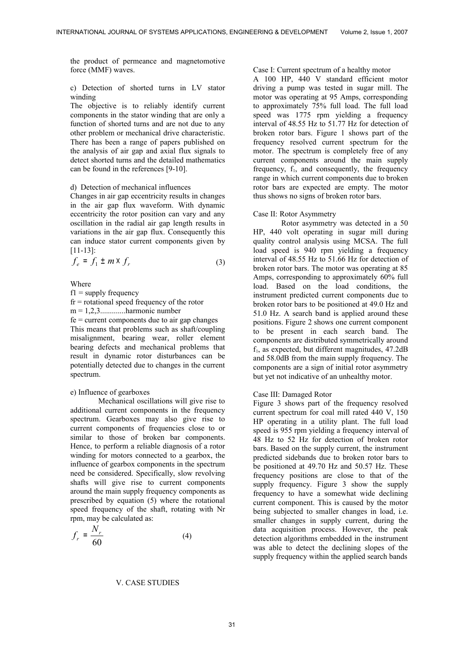the product of permeance and magnetomotive force (MMF) waves.

# c) Detection of shorted turns in LV stator winding

The objective is to reliably identify current components in the stator winding that are only a function of shorted turns and are not due to any other problem or mechanical drive characteristic. There has been a range of papers published on the analysis of air gap and axial flux signals to detect shorted turns and the detailed mathematics can be found in the references [9-10].

## d) Detection of mechanical influences

Changes in air gap eccentricity results in changes in the air gap flux waveform. With dynamic eccentricity the rotor position can vary and any oscillation in the radial air gap length results in variations in the air gap flux. Consequently this can induce stator current components given by [11-13]:

$$
f_e = f_1 \pm m \times f_r \tag{3}
$$

Where

 $f1 =$  supply frequency

fr = rotational speed frequency of the rotor

 $m = 1, 2, 3, \ldots$ ..............harmonic number

 $fe = current components due to air gap changes$ This means that problems such as shaft/coupling misalignment, bearing wear, roller element bearing defects and mechanical problems that result in dynamic rotor disturbances can be potentially detected due to changes in the current spectrum.

## e) Influence of gearboxes

Mechanical oscillations will give rise to additional current components in the frequency spectrum. Gearboxes may also give rise to current components of frequencies close to or similar to those of broken bar components. Hence, to perform a reliable diagnosis of a rotor winding for motors connected to a gearbox, the influence of gearbox components in the spectrum need be considered. Specifically, slow revolving shafts will give rise to current components around the main supply frequency components as prescribed by equation (5) where the rotational speed frequency of the shaft, rotating with Nr rpm, may be calculated as:

$$
f_r = \frac{N_r}{60} \tag{4}
$$

## V. CASE STUDIES

## Case I: Current spectrum of a healthy motor

A 100 HP, 440 V standard efficient motor driving a pump was tested in sugar mill. The motor was operating at 95 Amps, corresponding to approximately 75% full load. The full load speed was 1775 rpm yielding a frequency interval of 48.55 Hz to 51.77 Hz for detection of broken rotor bars. Figure 1 shows part of the frequency resolved current spectrum for the motor. The spectrum is completely free of any current components around the main supply frequency,  $f_1$ , and consequently, the frequency range in which current components due to broken rotor bars are expected are empty. The motor thus shows no signs of broken rotor bars.

#### Case II: Rotor Asymmetry

Rotor asymmetry was detected in a 50 HP, 440 volt operating in sugar mill during quality control analysis using MCSA. The full load speed is 940 rpm yielding a frequency interval of 48.55 Hz to 51.66 Hz for detection of broken rotor bars. The motor was operating at 85 Amps, corresponding to approximately 60% full load. Based on the load conditions, the instrument predicted current components due to broken rotor bars to be positioned at 49.0 Hz and 51.0 Hz. A search band is applied around these positions. Figure 2 shows one current component to be present in each search band. The components are distributed symmetrically around  $f_1$ , as expected, but different magnitudes, 47.2dB and 58.0dB from the main supply frequency. The components are a sign of initial rotor asymmetry but yet not indicative of an unhealthy motor.

#### Case III: Damaged Rotor

Figure 3 shows part of the frequency resolved current spectrum for coal mill rated 440 V, 150 HP operating in a utility plant. The full load speed is 955 rpm yielding a frequency interval of 48 Hz to 52 Hz for detection of broken rotor bars. Based on the supply current, the instrument predicted sidebands due to broken rotor bars to be positioned at 49.70 Hz and 50.57 Hz. These frequency positions are close to that of the supply frequency. Figure 3 show the supply frequency to have a somewhat wide declining current component. This is caused by the motor being subjected to smaller changes in load, i.e. smaller changes in supply current, during the data acquisition process. However, the peak detection algorithms embedded in the instrument was able to detect the declining slopes of the supply frequency within the applied search bands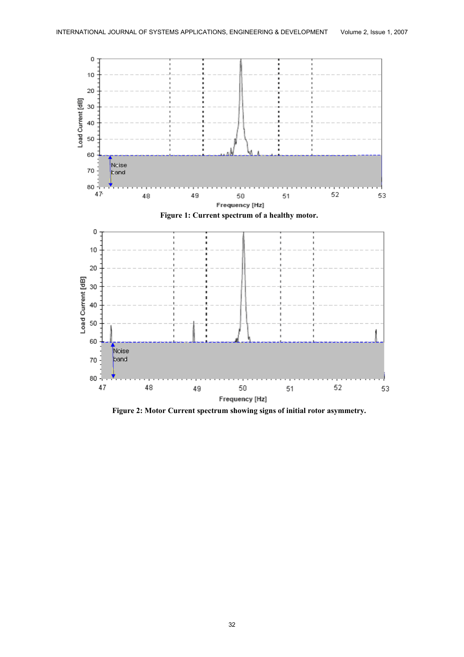

**Figure 2: Motor Current spectrum showing signs of initial rotor asymmetry.**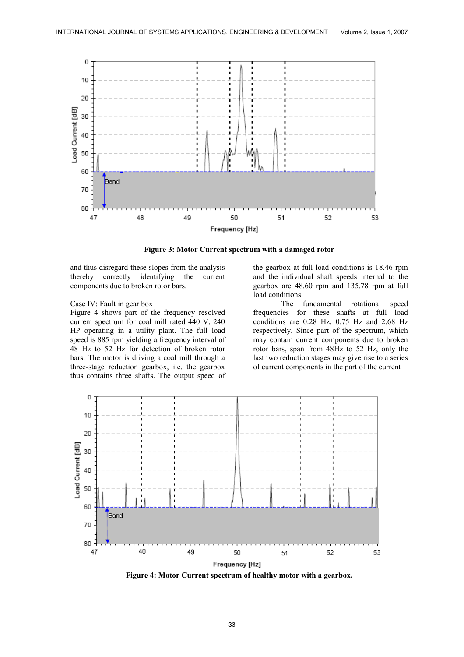

**Figure 3: Motor Current spectrum with a damaged rotor**

and thus disregard these slopes from the analysis thereby correctly identifying the current components due to broken rotor bars.

#### Case IV: Fault in gear box

Figure 4 shows part of the frequency resolved current spectrum for coal mill rated 440 V, 240 HP operating in a utility plant. The full load speed is 885 rpm yielding a frequency interval of 48 Hz to 52 Hz for detection of broken rotor bars. The motor is driving a coal mill through a three-stage reduction gearbox, i.e. the gearbox thus contains three shafts. The output speed of

the gearbox at full load conditions is 18.46 rpm and the individual shaft speeds internal to the gearbox are 48.60 rpm and 135.78 rpm at full load conditions.

The fundamental rotational speed frequencies for these shafts at full load conditions are 0.28 Hz, 0.75 Hz and 2.68 Hz respectively. Since part of the spectrum, which may contain current components due to broken rotor bars, span from 48Hz to 52 Hz, only the last two reduction stages may give rise to a series of current components in the part of the current

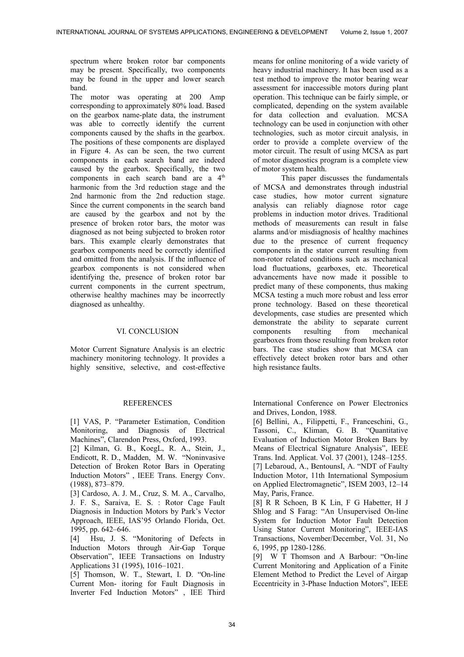spectrum where broken rotor bar components may be present. Specifically, two components may be found in the upper and lower search band.

The motor was operating at 200 Amp corresponding to approximately 80% load. Based on the gearbox name-plate data, the instrument was able to correctly identify the current components caused by the shafts in the gearbox. The positions of these components are displayed in Figure 4. As can be seen, the two current components in each search band are indeed caused by the gearbox. Specifically, the two components in each search band are a 4<sup>th</sup> harmonic from the 3rd reduction stage and the 2nd harmonic from the 2nd reduction stage. Since the current components in the search band are caused by the gearbox and not by the presence of broken rotor bars, the motor was diagnosed as not being subjected to broken rotor bars. This example clearly demonstrates that gearbox components need be correctly identified and omitted from the analysis. If the influence of gearbox components is not considered when identifying the, presence of broken rotor bar current components in the current spectrum, otherwise healthy machines may be incorrectly diagnosed as unhealthy.

## VI. CONCLUSION

Motor Current Signature Analysis is an electric machinery monitoring technology. It provides a highly sensitive, selective, and cost-effective

# **REFERENCES**

[1] VAS, P. "Parameter Estimation, Condition Monitoring, and Diagnosis of Electrical Machines", Clarendon Press, Oxford, 1993.

[2] Kilman, G. B., KoegL, R. A., Stein, J., Endicott, R. D., Madden, M. W. "Noninvasive Detection of Broken Rotor Bars in Operating Induction Motors" , IEEE Trans. Energy Conv. (1988), 873–879.

[3] Cardoso, A. J. M., Cruz, S. M. A., Carvalho, J. F. S., Saraiva, E. S. : Rotor Cage Fault Diagnosis in Induction Motors by Park's Vector Approach, IEEE, IAS'95 Orlando Florida, Oct. 1995, pp. 642–646.

[4] Hsu, J. S. "Monitoring of Defects in Induction Motors through Air-Gap Torque Observation", IEEE Transactions on Industry Applications 31 (1995), 1016–1021.

[5] Thomson, W. T., Stewart, I. D. "On-line Current Mon- itoring for Fault Diagnosis in Inverter Fed Induction Motors" , IEE Third

means for online monitoring of a wide variety of heavy industrial machinery. It has been used as a test method to improve the motor bearing wear assessment for inaccessible motors during plant operation. This technique can be fairly simple, or complicated, depending on the system available for data collection and evaluation. MCSA technology can be used in conjunction with other technologies, such as motor circuit analysis, in order to provide a complete overview of the motor circuit. The result of using MCSA as part of motor diagnostics program is a complete view of motor system health.

This paper discusses the fundamentals of MCSA and demonstrates through industrial case studies, how motor current signature analysis can reliably diagnose rotor cage problems in induction motor drives. Traditional methods of measurements can result in false alarms and/or misdiagnosis of healthy machines due to the presence of current frequency components in the stator current resulting from non-rotor related conditions such as mechanical load fluctuations, gearboxes, etc. Theoretical advancements have now made it possible to predict many of these components, thus making MCSA testing a much more robust and less error prone technology. Based on these theoretical developments, case studies are presented which demonstrate the ability to separate current components resulting from mechanical gearboxes from those resulting from broken rotor bars. The case studies show that MCSA can effectively detect broken rotor bars and other high resistance faults.

International Conference on Power Electronics and Drives, London, 1988.

[6] Bellini, A., Filippetti, F., Franceschini, G., Tassoni, C., Kliman, G. B. "Quantitative Evaluation of Induction Motor Broken Bars by Means of Electrical Signature Analysis", IEEE Trans. Ind. Applicat. Vol. 37 (2001), 1248–1255. [7] Lebaroud, A., BentounsI, A. "NDT of Faulty Induction Motor, 11th International Symposium on Applied Electromagnetic", ISEM 2003, 12–14 May, Paris, France.

[8] R R Schoen, B K Lin, F G Habetter, H J Shlog and S Farag: "An Unsupervised On-line System for Induction Motor Fault Detection Using Stator Current Monitoring", IEEE-IAS Transactions, November/December, Vol. 31, No 6, 1995, pp 1280-1286.

[9] W T Thomson and A Barbour: "On-line Current Monitoring and Application of a Finite Element Method to Predict the Level of Airgap Eccentricity in 3-Phase Induction Motors", IEEE